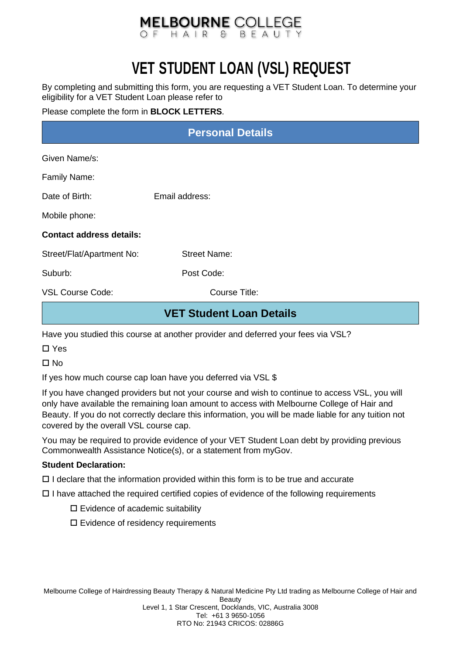### **MELBOURNE COLLEGE** OF HAIR & BFAU

## **VET STUDENT LOAN (VSL) REQUEST**

By completing and submitting this form, you are requesting a VET Student Loan. To determine your eligibility for a VET Student Loan please refer to

Please complete the form in **BLOCK LETTERS**.

| <b>Personal Details</b>         |                     |  |
|---------------------------------|---------------------|--|
| Given Name/s:                   |                     |  |
| Family Name:                    |                     |  |
| Date of Birth:                  | Email address:      |  |
| Mobile phone:                   |                     |  |
| <b>Contact address details:</b> |                     |  |
| Street/Flat/Apartment No:       | <b>Street Name:</b> |  |
| Suburb:                         | Post Code:          |  |
| <b>VSL Course Code:</b>         | Course Title:       |  |
| <b>VET Student Loan Details</b> |                     |  |

Have you studied this course at another provider and deferred your fees via VSL?

□ Yes

 $\Pi$  No

If yes how much course cap loan have you deferred via VSL \$

If you have changed providers but not your course and wish to continue to access VSL, you will only have available the remaining loan amount to access with Melbourne College of Hair and Beauty. If you do not correctly declare this information, you will be made liable for any tuition not covered by the overall VSL course cap.

You may be required to provide evidence of your VET Student Loan debt by providing previous Commonwealth Assistance Notice(s), or a statement from myGov.

#### **Student Declaration:**

 $\Box$  I declare that the information provided within this form is to be true and accurate

 $\Box$  I have attached the required certified copies of evidence of the following requirements

- $\square$  Evidence of academic suitability
- $\square$  Evidence of residency requirements